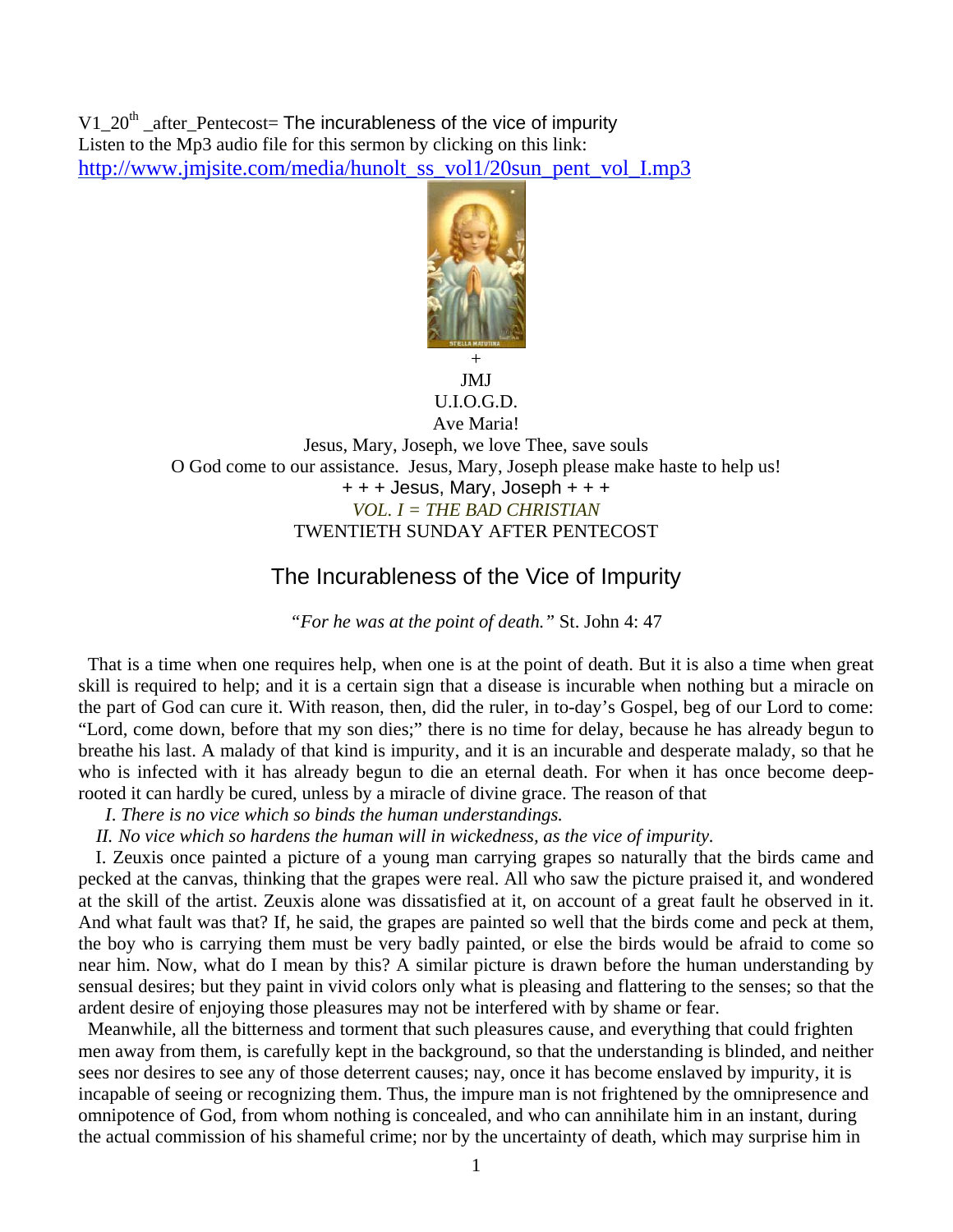V1  $20<sup>th</sup>$  after Pentecost= The incurableness of the vice of impurity Listen to the Mp3 audio file for this sermon by clicking on this link: http://www.jmjsite.com/media/hunolt\_ss\_vol1/20sun\_pent\_vol\_I.mp3



## + JMJ U.I.O.G.D. Ave Maria!

Jesus, Mary, Joseph, we love Thee, save souls O God come to our assistance. Jesus, Mary, Joseph please make haste to help us! + + + Jesus, Mary, Joseph + + + *VOL. I = THE BAD CHRISTIAN*  TWENTIETH SUNDAY AFTER PENTECOST

## The Incurableness of the Vice of Impurity

*"For he was at the point of death."* St. John 4: 47

 That is a time when one requires help, when one is at the point of death. But it is also a time when great skill is required to help; and it is a certain sign that a disease is incurable when nothing but a miracle on the part of God can cure it. With reason, then, did the ruler, in to-day's Gospel, beg of our Lord to come: "Lord, come down, before that my son dies;" there is no time for delay, because he has already begun to breathe his last. A malady of that kind is impurity, and it is an incurable and desperate malady, so that he who is infected with it has already begun to die an eternal death. For when it has once become deeprooted it can hardly be cured, unless by a miracle of divine grace. The reason of that

 *I*. *There is no vice which so binds the human understandings.* 

*II. No vice which so hardens the human will in wickedness, as the vice of impurity.* 

I. Zeuxis once painted a picture of a young man carrying grapes so naturally that the birds came and pecked at the canvas, thinking that the grapes were real. All who saw the picture praised it, and wondered at the skill of the artist. Zeuxis alone was dissatisfied at it, on account of a great fault he observed in it. And what fault was that? If, he said, the grapes are painted so well that the birds come and peck at them, the boy who is carrying them must be very badly painted, or else the birds would be afraid to come so near him. Now, what do I mean by this? A similar picture is drawn before the human understanding by sensual desires; but they paint in vivid colors only what is pleasing and flattering to the senses; so that the ardent desire of enjoying those pleasures may not be interfered with by shame or fear.

 Meanwhile, all the bitterness and torment that such pleasures cause, and everything that could frighten men away from them, is carefully kept in the background, so that the understanding is blinded, and neither sees nor desires to see any of those deterrent causes; nay, once it has become enslaved by impurity, it is incapable of seeing or recognizing them. Thus, the impure man is not frightened by the omnipresence and omnipotence of God, from whom nothing is concealed, and who can annihilate him in an instant, during the actual commission of his shameful crime; nor by the uncertainty of death, which may surprise him in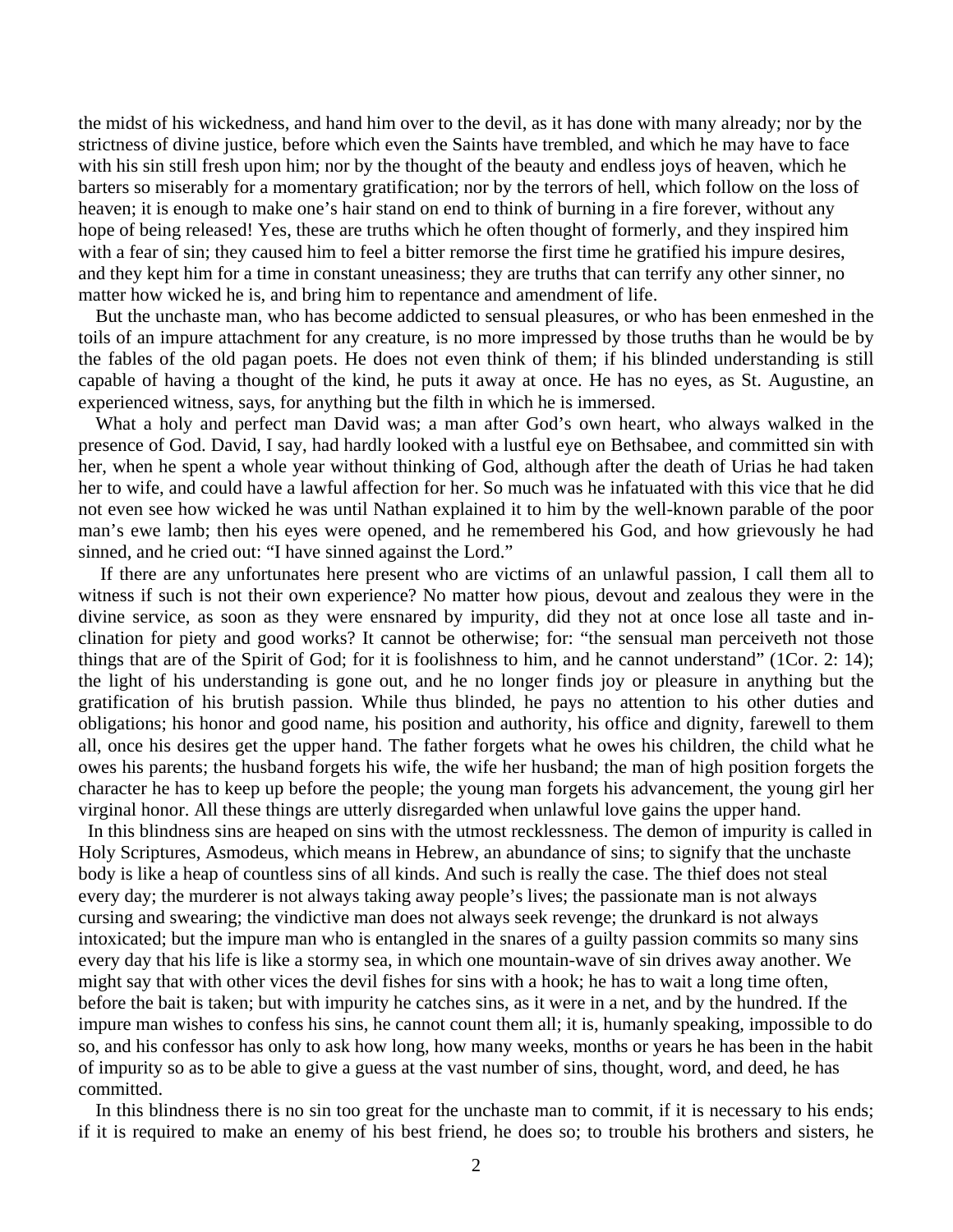the midst of his wickedness, and hand him over to the devil, as it has done with many already; nor by the strictness of divine justice, before which even the Saints have trembled, and which he may have to face with his sin still fresh upon him; nor by the thought of the beauty and endless joys of heaven, which he barters so miserably for a momentary gratification; nor by the terrors of hell, which follow on the loss of heaven; it is enough to make one's hair stand on end to think of burning in a fire forever, without any hope of being released! Yes, these are truths which he often thought of formerly, and they inspired him with a fear of sin; they caused him to feel a bitter remorse the first time he gratified his impure desires, and they kept him for a time in constant uneasiness; they are truths that can terrify any other sinner, no matter how wicked he is, and bring him to repentance and amendment of life.

But the unchaste man, who has become addicted to sensual pleasures, or who has been enmeshed in the toils of an impure attachment for any creature, is no more impressed by those truths than he would be by the fables of the old pagan poets. He does not even think of them; if his blinded understanding is still capable of having a thought of the kind, he puts it away at once. He has no eyes, as St. Augustine, an experienced witness, says, for anything but the filth in which he is immersed.

What a holy and perfect man David was; a man after God's own heart, who always walked in the presence of God. David, I say, had hardly looked with a lustful eye on Bethsabee, and committed sin with her, when he spent a whole year without thinking of God, although after the death of Urias he had taken her to wife, and could have a lawful affection for her. So much was he infatuated with this vice that he did not even see how wicked he was until Nathan explained it to him by the well-known parable of the poor man's ewe lamb; then his eyes were opened, and he remembered his God, and how grievously he had sinned, and he cried out: "I have sinned against the Lord."

 If there are any unfortunates here present who are victims of an unlawful passion, I call them all to witness if such is not their own experience? No matter how pious, devout and zealous they were in the divine service, as soon as they were ensnared by impurity, did they not at once lose all taste and inclination for piety and good works? It cannot be otherwise; for: "the sensual man perceiveth not those things that are of the Spirit of God; for it is foolishness to him, and he cannot understand" (1Cor. 2: 14); the light of his understanding is gone out, and he no longer finds joy or pleasure in anything but the gratification of his brutish passion. While thus blinded, he pays no attention to his other duties and obligations; his honor and good name, his position and authority, his office and dignity, farewell to them all, once his desires get the upper hand. The father forgets what he owes his children, the child what he owes his parents; the husband forgets his wife, the wife her husband; the man of high position forgets the character he has to keep up before the people; the young man forgets his advancement, the young girl her virginal honor. All these things are utterly disregarded when unlawful love gains the upper hand.

 In this blindness sins are heaped on sins with the utmost recklessness. The demon of impurity is called in Holy Scriptures, Asmodeus, which means in Hebrew, an abundance of sins; to signify that the unchaste body is like a heap of countless sins of all kinds. And such is really the case. The thief does not steal every day; the murderer is not always taking away people's lives; the passionate man is not always cursing and swearing; the vindictive man does not always seek revenge; the drunkard is not always intoxicated; but the impure man who is entangled in the snares of a guilty passion commits so many sins every day that his life is like a stormy sea, in which one mountain-wave of sin drives away another. We might say that with other vices the devil fishes for sins with a hook; he has to wait a long time often, before the bait is taken; but with impurity he catches sins, as it were in a net, and by the hundred. If the impure man wishes to confess his sins, he cannot count them all; it is, humanly speaking, impossible to do so, and his confessor has only to ask how long, how many weeks, months or years he has been in the habit of impurity so as to be able to give a guess at the vast number of sins, thought, word, and deed, he has committed.

In this blindness there is no sin too great for the unchaste man to commit, if it is necessary to his ends; if it is required to make an enemy of his best friend, he does so; to trouble his brothers and sisters, he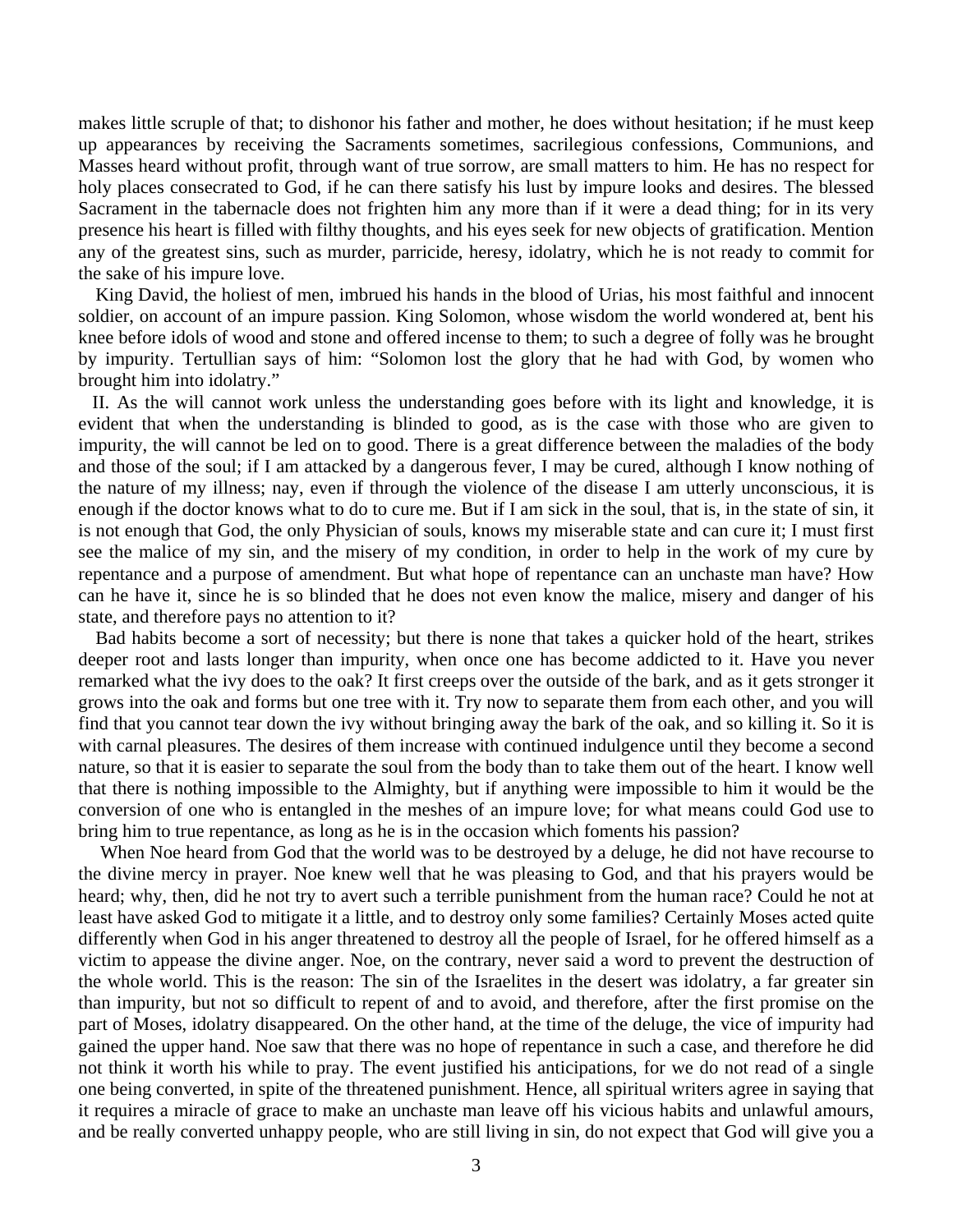makes little scruple of that; to dishonor his father and mother, he does without hesitation; if he must keep up appearances by receiving the Sacraments sometimes, sacrilegious confessions, Communions, and Masses heard without profit, through want of true sorrow, are small matters to him. He has no respect for holy places consecrated to God, if he can there satisfy his lust by impure looks and desires. The blessed Sacrament in the tabernacle does not frighten him any more than if it were a dead thing; for in its very presence his heart is filled with filthy thoughts, and his eyes seek for new objects of gratification. Mention any of the greatest sins, such as murder, parricide, heresy, idolatry, which he is not ready to commit for the sake of his impure love.

King David, the holiest of men, imbrued his hands in the blood of Urias, his most faithful and innocent soldier, on account of an impure passion. King Solomon, whose wisdom the world wondered at, bent his knee before idols of wood and stone and offered incense to them; to such a degree of folly was he brought by impurity. Tertullian says of him: "Solomon lost the glory that he had with God, by women who brought him into idolatry."

 II. As the will cannot work unless the understanding goes before with its light and knowledge, it is evident that when the understanding is blinded to good, as is the case with those who are given to impurity, the will cannot be led on to good. There is a great difference between the maladies of the body and those of the soul; if I am attacked by a dangerous fever, I may be cured, although I know nothing of the nature of my illness; nay, even if through the violence of the disease I am utterly unconscious, it is enough if the doctor knows what to do to cure me. But if I am sick in the soul, that is, in the state of sin, it is not enough that God, the only Physician of souls, knows my miserable state and can cure it; I must first see the malice of my sin, and the misery of my condition, in order to help in the work of my cure by repentance and a purpose of amendment. But what hope of repentance can an unchaste man have? How can he have it, since he is so blinded that he does not even know the malice, misery and danger of his state, and therefore pays no attention to it?

Bad habits become a sort of necessity; but there is none that takes a quicker hold of the heart, strikes deeper root and lasts longer than impurity, when once one has become addicted to it. Have you never remarked what the ivy does to the oak? It first creeps over the outside of the bark, and as it gets stronger it grows into the oak and forms but one tree with it. Try now to separate them from each other, and you will find that you cannot tear down the ivy without bringing away the bark of the oak, and so killing it. So it is with carnal pleasures. The desires of them increase with continued indulgence until they become a second nature, so that it is easier to separate the soul from the body than to take them out of the heart. I know well that there is nothing impossible to the Almighty, but if anything were impossible to him it would be the conversion of one who is entangled in the meshes of an impure love; for what means could God use to bring him to true repentance, as long as he is in the occasion which foments his passion?

 When Noe heard from God that the world was to be destroyed by a deluge, he did not have recourse to the divine mercy in prayer. Noe knew well that he was pleasing to God, and that his prayers would be heard; why, then, did he not try to avert such a terrible punishment from the human race? Could he not at least have asked God to mitigate it a little, and to destroy only some families? Certainly Moses acted quite differently when God in his anger threatened to destroy all the people of Israel, for he offered himself as a victim to appease the divine anger. Noe, on the contrary, never said a word to prevent the destruction of the whole world. This is the reason: The sin of the Israelites in the desert was idolatry, a far greater sin than impurity, but not so difficult to repent of and to avoid, and therefore, after the first promise on the part of Moses, idolatry disappeared. On the other hand, at the time of the deluge, the vice of impurity had gained the upper hand. Noe saw that there was no hope of repentance in such a case, and therefore he did not think it worth his while to pray. The event justified his anticipations, for we do not read of a single one being converted, in spite of the threatened punishment. Hence, all spiritual writers agree in saying that it requires a miracle of grace to make an unchaste man leave off his vicious habits and unlawful amours, and be really converted unhappy people, who are still living in sin, do not expect that God will give you a